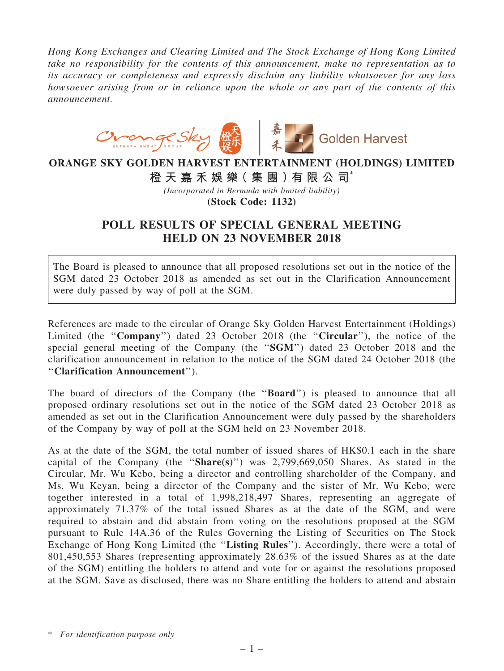*Hong Kong Exchanges and Clearing Limited and The Stock Exchange of Hong Kong Limited take no responsibility for the contents of this announcement, make no representation as to its accuracy or completeness and expressly disclaim any liability whatsoever for any loss howsoever arising from or in reliance upon the whole or any part of the contents of this announcement.*



## ORANGE SKY GOLDEN HARVEST ENTERTAINMENT (HOLDINGS) LIMITED

橙 天 嘉 禾 娛 樂( 集 團 )有 限 公 司\*

*(Incorporated in Bermuda with limited liability)*

(Stock Code: 1132)

## POLL RESULTS OF SPECIAL GENERAL MEETING HELD ON 23 NOVEMBER 2018

The Board is pleased to announce that all proposed resolutions set out in the notice of the SGM dated 23 October 2018 as amended as set out in the Clarification Announcement were duly passed by way of poll at the SGM.

References are made to the circular of Orange Sky Golden Harvest Entertainment (Holdings) Limited (the "Company") dated 23 October 2018 (the "Circular"), the notice of the special general meeting of the Company (the ''SGM'') dated 23 October 2018 and the clarification announcement in relation to the notice of the SGM dated 24 October 2018 (the ''Clarification Announcement'').

The board of directors of the Company (the "**Board**") is pleased to announce that all proposed ordinary resolutions set out in the notice of the SGM dated 23 October 2018 as amended as set out in the Clarification Announcement were duly passed by the shareholders of the Company by way of poll at the SGM held on 23 November 2018.

As at the date of the SGM, the total number of issued shares of HK\$0.1 each in the share capital of the Company (the ''Share(s)'') was 2,799,669,050 Shares. As stated in the Circular, Mr. Wu Kebo, being a director and controlling shareholder of the Company, and Ms. Wu Keyan, being a director of the Company and the sister of Mr. Wu Kebo, were together interested in a total of 1,998,218,497 Shares, representing an aggregate of approximately 71.37% of the total issued Shares as at the date of the SGM, and were required to abstain and did abstain from voting on the resolutions proposed at the SGM pursuant to Rule 14A.36 of the Rules Governing the Listing of Securities on The Stock Exchange of Hong Kong Limited (the "Listing Rules"). Accordingly, there were a total of 801,450,553 Shares (representing approximately 28.63% of the issued Shares as at the date of the SGM) entitling the holders to attend and vote for or against the resolutions proposed at the SGM. Save as disclosed, there was no Share entitling the holders to attend and abstain